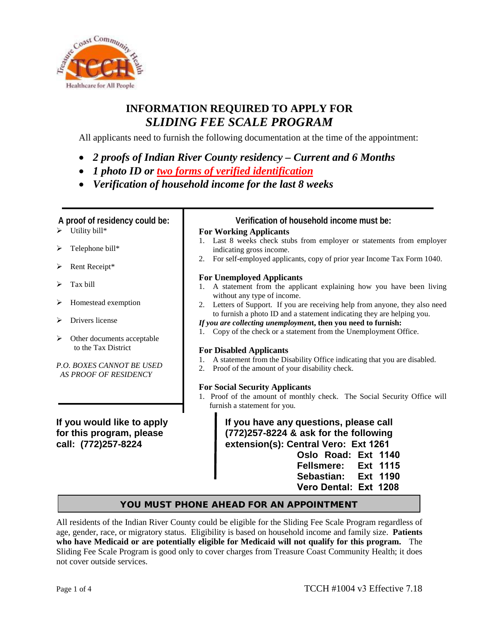

# **INFORMATION REQUIRED TO APPLY FOR** *SLIDING FEE SCALE PROGRAM*

All applicants need to furnish the following documentation at the time of the appointment:

- *2 proofs of Indian River County residency Current and 6 Months*
- *1 photo ID or two forms of verified identification*
- *Verification of household income for the last 8 weeks*

- $\triangleright$  Utility bill\*
- $\triangleright$  Telephone bill\*
- Rent Receipt\*
- Tax bill
- > Homestead exemption
- Drivers license
- Other documents acceptable to the Tax District

*P.O. BOXES CANNOT BE USED AS PROOF OF RESIDENCY*

**If you would like to apply for this program, please call: (772)257-8224**

## **A proof of residency could be: Verification of household income must be:**

## **For Working Applicants**

- 1. Last 8 weeks check stubs from employer or statements from employer indicating gross income.
- 2. For self-employed applicants, copy of prior year Income Tax Form 1040.

## **For Unemployed Applicants**

- 1. A statement from the applicant explaining how you have been living without any type of income.
- 2. Letters of Support. If you are receiving help from anyone, they also need to furnish a photo ID and a statement indicating they are helping you.
- *If you are collecting unemploymen***t, then you need to furnish:**
- 1. Copy of the check or a statement from the Unemployment Office.

## **For Disabled Applicants**

- 1. A statement from the Disability Office indicating that you are disabled.
- 2. Proof of the amount of your disability check.

## **For Social Security Applicants**

1. Proof of the amount of monthly check. The Social Security Office will furnish a statement for you.

> **If you have any questions, please call (772)257-8224 & ask for the following extension(s): Central Vero: Ext 1261 Oslo Road: Ext 1140**

**Fellsmere: Ext 1115 Sebastian: Ext 1190 Vero Dental: Ext 1208**

## YOU MUST PHONE AHEAD FOR AN APPOINTMENT

All residents of the Indian River County could be eligible for the Sliding Fee Scale Program regardless of age, gender, race, or migratory status. Eligibility is based on household income and family size. **Patients who have Medicaid or are potentially eligible for Medicaid will not qualify for this program.** The Sliding Fee Scale Program is good only to cover charges from Treasure Coast Community Health; it does not cover outside services.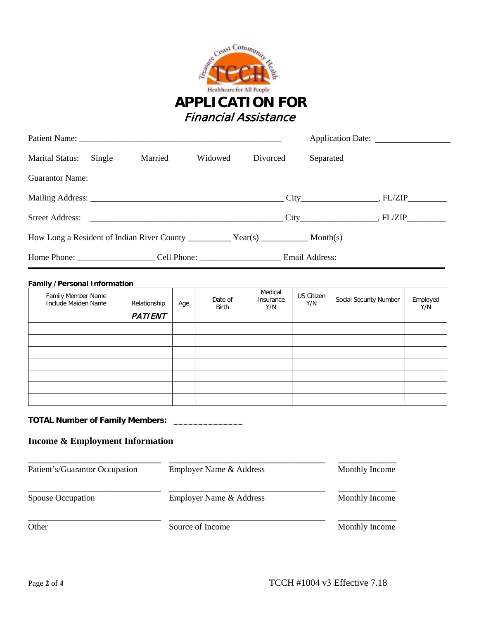

|                                                                                                                                                                                                                                |         |         |          |                                             | Application Date: 2008 |
|--------------------------------------------------------------------------------------------------------------------------------------------------------------------------------------------------------------------------------|---------|---------|----------|---------------------------------------------|------------------------|
| Marital Status: Single                                                                                                                                                                                                         | Married | Widowed | Divorced | Separated                                   |                        |
| Guarantor Name: 2008 and 2008 and 2008 and 2008 and 2008 and 2008 and 2008 and 2008 and 2008 and 2008 and 2008 and 2008 and 2008 and 2008 and 2008 and 2008 and 2008 and 2008 and 2008 and 2008 and 2008 and 2008 and 2008 and |         |         |          |                                             |                        |
|                                                                                                                                                                                                                                |         |         |          | $\text{City}$ $\qquad \qquad \text{FL/ZIP}$ |                        |
|                                                                                                                                                                                                                                |         |         |          |                                             |                        |
|                                                                                                                                                                                                                                |         |         |          |                                             |                        |
|                                                                                                                                                                                                                                |         |         |          |                                             |                        |

| <b>Family /Personal Information</b>       |                |     |                  |                             |                   |                        |                 |
|-------------------------------------------|----------------|-----|------------------|-----------------------------|-------------------|------------------------|-----------------|
| Family Member Name<br>Include Maiden Name | Relationship   | Age | Date of<br>Birth | Medical<br>Insurance<br>Y/N | US Citizen<br>Y/N | Social Security Number | Employed<br>Y/N |
|                                           | <b>PATIENT</b> |     |                  |                             |                   |                        |                 |
|                                           |                |     |                  |                             |                   |                        |                 |
|                                           |                |     |                  |                             |                   |                        |                 |
|                                           |                |     |                  |                             |                   |                        |                 |
|                                           |                |     |                  |                             |                   |                        |                 |
|                                           |                |     |                  |                             |                   |                        |                 |
|                                           |                |     |                  |                             |                   |                        |                 |
|                                           |                |     |                  |                             |                   |                        |                 |

# **TOTAL Number of Family Members: \_\_\_\_\_\_\_\_\_\_\_\_\_\_**

# **Income & Employment Information**

| Patient's/Guarantor Occupation | Employer Name & Address | Monthly Income |
|--------------------------------|-------------------------|----------------|
| <b>Spouse Occupation</b>       | Employer Name & Address | Monthly Income |
| Other                          | Source of Income        | Monthly Income |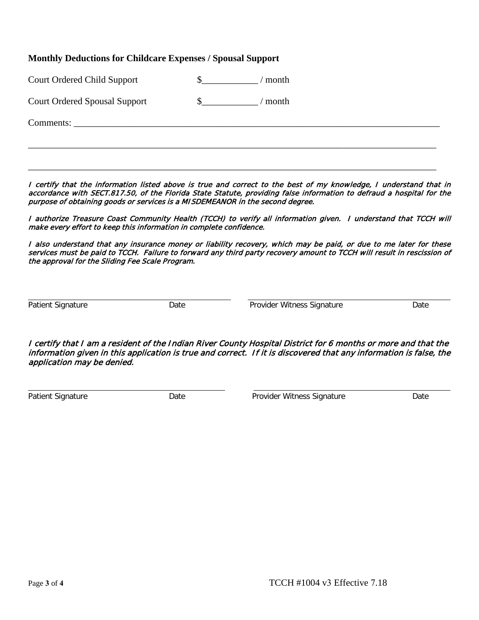## **Monthly Deductions for Childcare Expenses / Spousal Support**

| <b>Court Ordered Child Support</b> |  | $/$ month |
|------------------------------------|--|-----------|
|------------------------------------|--|-----------|

| <b>Court Ordered Spousal Support</b> |  | / month |
|--------------------------------------|--|---------|
|--------------------------------------|--|---------|

Comments:

I certify that the information listed above is true and correct to the best of my knowledge, I understand that in accordance with SECT.817.50, of the Florida State Statute, providing false information to defraud a hospital for the purpose of obtaining goods or services is a MISDEMEANOR in the second degree.

\_\_\_\_\_\_\_\_\_\_\_\_\_\_\_\_\_\_\_\_\_\_\_\_\_\_\_\_\_\_\_\_\_\_\_\_\_\_\_\_\_\_\_\_\_\_\_\_\_\_\_\_\_\_\_\_\_\_\_\_\_\_\_\_\_\_\_\_\_\_\_\_\_\_\_\_\_\_\_\_\_\_\_\_\_\_\_

\_\_\_\_\_\_\_\_\_\_\_\_\_\_\_\_\_\_\_\_\_\_\_\_\_\_\_\_\_\_\_\_\_\_\_\_\_\_\_\_\_\_\_\_\_\_\_\_\_\_\_\_\_\_\_\_\_\_\_\_\_\_\_\_\_\_\_\_\_\_\_\_\_\_\_\_\_\_\_\_\_\_\_\_\_\_\_

I authorize Treasure Coast Community Health (TCCH) to verify all information given. I understand that TCCH will make every effort to keep this information in complete confidence.

I also understand that any insurance money or liability recovery, which may be paid, or due to me later for these services must be paid to TCCH. Failure to forward any third party recovery amount to TCCH will result in rescission of the approval for the Sliding Fee Scale Program.

Patient Signature **Date** Date **Date Provider Witness Signature** Date

I certify that I am a resident of the Indian River County Hospital District for 6 months or more and that the information given in this application is true and correct. If it is discovered that any information is false, the application may be denied.

Patient Signature **Date** Date **Date Provider Witness Signature** Date Date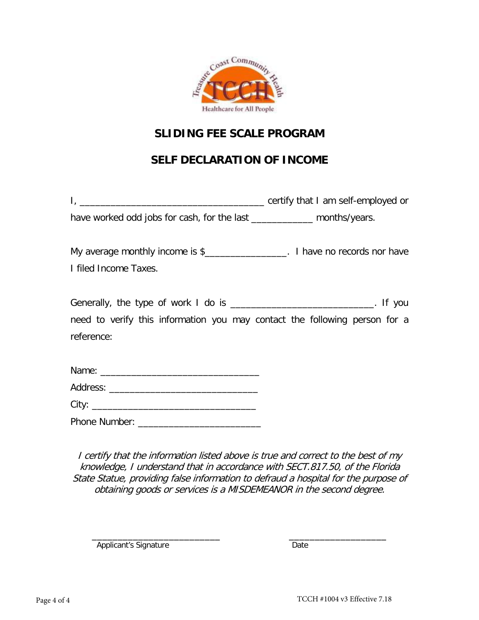

# **SLIDING FEE SCALE PROGRAM**

# **SELF DECLARATION OF INCOME**

| <u> 1989 - Jan James James, martin amerikan basar dan bagi dan bagi dari dalam bagi dalam bagi dalam bagi dalam b</u>                                    | certify that I am self-employed or |
|----------------------------------------------------------------------------------------------------------------------------------------------------------|------------------------------------|
| have worked odd jobs for cash, for the last ______________ months/years.                                                                                 |                                    |
| My average monthly income is \$___________________. I have no records nor have<br>I filed Income Taxes.                                                  |                                    |
| Generally, the type of work I do is ______________________________. If you<br>need to verify this information you may contact the following person for a |                                    |
| reference:                                                                                                                                               |                                    |

| Phone Number: |  |  |
|---------------|--|--|

I certify that the information listed above is true and correct to the best of my knowledge, I understand that in accordance with SECT.817.50, of the Florida State Statue, providing false information to defraud a hospital for the purpose of obtaining goods or services is a MISDEMEANOR in the second degree.

\_\_\_\_\_\_\_\_\_\_\_\_\_\_\_\_\_\_\_\_\_\_\_\_\_ \_\_\_\_\_\_\_\_\_\_\_\_\_\_\_\_\_\_\_ Applicant's Signature Date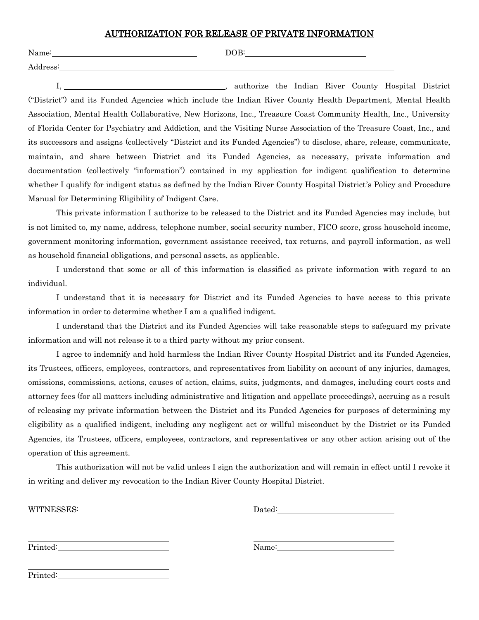#### AUTHORIZATION FOR RELEASE OF PRIVATE INFORMATION

| Name:                        | DOB: |       |                                                 |                                                                                  |  |
|------------------------------|------|-------|-------------------------------------------------|----------------------------------------------------------------------------------|--|
| Address:                     |      |       |                                                 |                                                                                  |  |
| the company's company's com- |      | _____ | the contract of the contract of the contract of | $-$<br>the company's company's company's company's company's company's company's |  |

I, 1. **I** authorize the Indian River County Hospital District ("District") and its Funded Agencies which include the Indian River County Health Department, Mental Health Association, Mental Health Collaborative, New Horizons, Inc., Treasure Coast Community Health, Inc., University of Florida Center for Psychiatry and Addiction, and the Visiting Nurse Association of the Treasure Coast, Inc., and its successors and assigns (collectively "District and its Funded Agencies") to disclose, share, release, communicate, maintain, and share between District and its Funded Agencies, as necessary, private information and documentation (collectively "information") contained in my application for indigent qualification to determine whether I qualify for indigent status as defined by the Indian River County Hospital District's Policy and Procedure Manual for Determining Eligibility of Indigent Care.

This private information I authorize to be released to the District and its Funded Agencies may include, but is not limited to, my name, address, telephone number, social security number, FICO score, gross household income, government monitoring information, government assistance received, tax returns, and payroll information, as well as household financial obligations, and personal assets, as applicable.

I understand that some or all of this information is classified as private information with regard to an individual.

I understand that it is necessary for District and its Funded Agencies to have access to this private information in order to determine whether I am a qualified indigent.

I understand that the District and its Funded Agencies will take reasonable steps to safeguard my private information and will not release it to a third party without my prior consent.

I agree to indemnify and hold harmless the Indian River County Hospital District and its Funded Agencies, its Trustees, officers, employees, contractors, and representatives from liability on account of any injuries, damages, omissions, commissions, actions, causes of action, claims, suits, judgments, and damages, including court costs and attorney fees (for all matters including administrative and litigation and appellate proceedings), accruing as a result of releasing my private information between the District and its Funded Agencies for purposes of determining my eligibility as a qualified indigent, including any negligent act or willful misconduct by the District or its Funded Agencies, its Trustees, officers, employees, contractors, and representatives or any other action arising out of the operation of this agreement.

This authorization will not be valid unless I sign the authorization and will remain in effect until I revoke it in writing and deliver my revocation to the Indian River County Hospital District.

WITNESSES: Dated:

Printed: Name: Name: Name: Name: Name: Name: Name: Name: Name: Name: Name: Name: Name: Name: Name: Name: Name: Name: Name: Name: Name: Name: Name: Name: Name: Name: Name: Name: Name: Name: Name: Name: Name: Name: Name: Nam

Printed: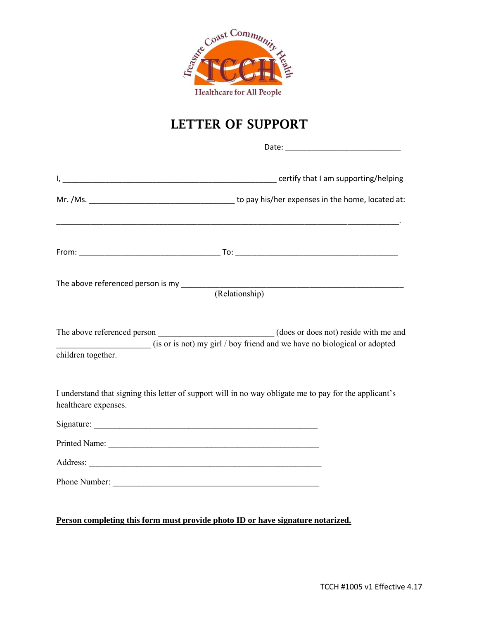

# **LETTER OF SUPPORT**

| The above referenced person is my _________       |                                                                                                                   |
|---------------------------------------------------|-------------------------------------------------------------------------------------------------------------------|
|                                                   | (Relationship)                                                                                                    |
| The above referenced person<br>children together. | (does or does not) reside with me and<br>(is or is not) my girl / boy friend and we have no biological or adopted |
| healthcare expenses.                              | I understand that signing this letter of support will in no way obligate me to pay for the applicant's            |
|                                                   |                                                                                                                   |
|                                                   |                                                                                                                   |
|                                                   |                                                                                                                   |
|                                                   |                                                                                                                   |
|                                                   |                                                                                                                   |
|                                                   | Person completing this form must provide photo ID or have signature notarized.                                    |